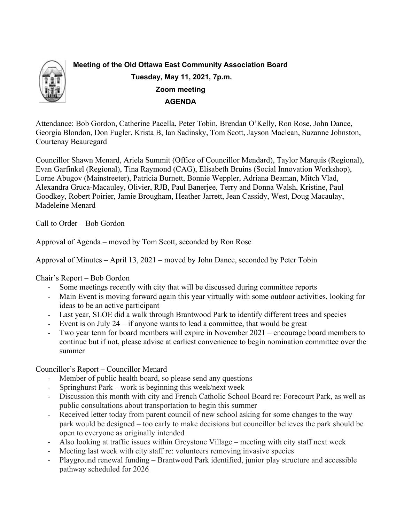

Attendance: Bob Gordon, Catherine Pacella, Peter Tobin, Brendan O'Kelly, Ron Rose, John Dance, Georgia Blondon, Don Fugler, Krista B, Ian Sadinsky, Tom Scott, Jayson Maclean, Suzanne Johnston, Courtenay Beauregard

Councillor Shawn Menard, Ariela Summit (Office of Councillor Mendard), Taylor Marquis (Regional), Evan Garfinkel (Regional), Tina Raymond (CAG), Elisabeth Bruins (Social Innovation Workshop), Lorne Abugov (Mainstreeter), Patricia Burnett, Bonnie Weppler, Adriana Beaman, Mitch Vlad, Alexandra Gruca-Macauley, Olivier, RJB, Paul Banerjee, Terry and Donna Walsh, Kristine, Paul Goodkey, Robert Poirier, Jamie Brougham, Heather Jarrett, Jean Cassidy, West, Doug Macaulay, Madeleine Menard

Call to Order – Bob Gordon

Approval of Agenda – moved by Tom Scott, seconded by Ron Rose

Approval of Minutes – April 13, 2021 – moved by John Dance, seconded by Peter Tobin

Chair's Report – Bob Gordon

- Some meetings recently with city that will be discussed during committee reports
- Main Event is moving forward again this year virtually with some outdoor activities, looking for ideas to be an active participant
- Last year, SLOE did a walk through Brantwood Park to identify different trees and species
- Event is on July 24 if anyone wants to lead a committee, that would be great
- Two year term for board members will expire in November 2021 encourage board members to continue but if not, please advise at earliest convenience to begin nomination committee over the summer

Councillor's Report – Councillor Menard

- Member of public health board, so please send any questions
- Springhurst Park work is beginning this week/next week
- Discussion this month with city and French Catholic School Board re: Forecourt Park, as well as public consultations about transportation to begin this summer
- Received letter today from parent council of new school asking for some changes to the way park would be designed – too early to make decisions but councillor believes the park should be open to everyone as originally intended
- Also looking at traffic issues within Greystone Village meeting with city staff next week
- Meeting last week with city staff re: volunteers removing invasive species
- Playground renewal funding Brantwood Park identified, junior play structure and accessible pathway scheduled for 2026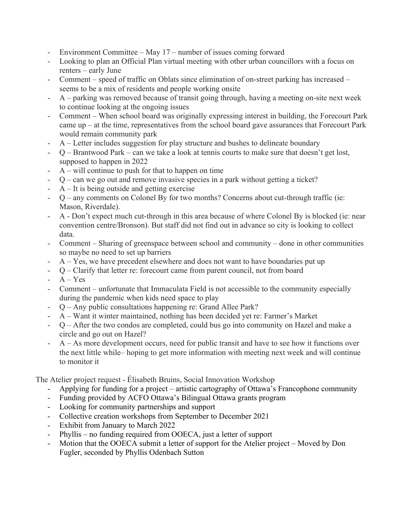- Environment Committee May 17 number of issues coming forward
- Looking to plan an Official Plan virtual meeting with other urban councillors with a focus on renters – early June
- Comment speed of traffic on Oblats since elimination of on-street parking has increased seems to be a mix of residents and people working onsite
- A parking was removed because of transit going through, having a meeting on-site next week to continue looking at the ongoing issues
- Comment When school board was originally expressing interest in building, the Forecourt Park came up – at the time, representatives from the school board gave assurances that Forecourt Park would remain community park
- A Letter includes suggestion for play structure and bushes to delineate boundary
- Q Brantwood Park can we take a look at tennis courts to make sure that doesn't get lost, supposed to happen in 2022
- $A$  will continue to push for that to happen on time
- Q can we go out and remove invasive species in a park without getting a ticket?
- A It is being outside and getting exercise
- Q any comments on Colonel By for two months? Concerns about cut-through traffic (ie: Mason, Riverdale).
- A Don't expect much cut-through in this area because of where Colonel By is blocked (ie: near convention centre/Bronson). But staff did not find out in advance so city is looking to collect data.
- Comment Sharing of greenspace between school and community done in other communities so maybe no need to set up barriers
- $A Yes$ , we have precedent elsewhere and does not want to have boundaries put up
- Q Clarify that letter re: forecourt came from parent council, not from board
- $A Yes$
- Comment unfortunate that Immaculata Field is not accessible to the community especially during the pandemic when kids need space to play
- Q Any public consultations happening re: Grand Allee Park?
- A Want it winter maintained, nothing has been decided yet re: Farmer's Market
- Q After the two condos are completed, could bus go into community on Hazel and make a circle and go out on Hazel?
- A As more development occurs, need for public transit and have to see how it functions over the next little while– hoping to get more information with meeting next week and will continue to monitor it

The Atelier project request - Élisabeth Bruins, Social Innovation Workshop

- Applying for funding for a project artistic cartography of Ottawa's Francophone community
- Funding provided by ACFO Ottawa's Bilingual Ottawa grants program
- Looking for community partnerships and support
- Collective creation workshops from September to December 2021
- Exhibit from January to March 2022
- Phyllis no funding required from OOECA, just a letter of support
- Motion that the OOECA submit a letter of support for the Atelier project Moved by Don Fugler, seconded by Phyllis Odenbach Sutton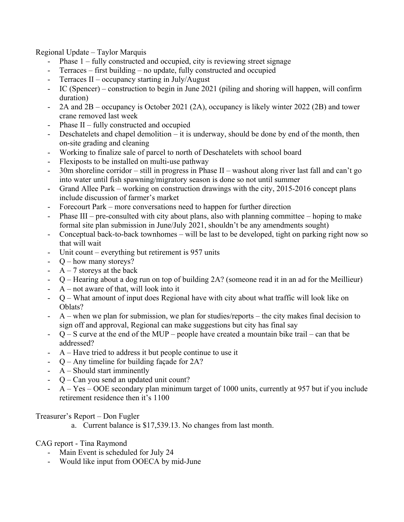Regional Update – Taylor Marquis

- Phase  $1$  fully constructed and occupied, city is reviewing street signage
- Terraces first building no update, fully constructed and occupied
- Terraces  $II$  occupancy starting in July/August
- IC (Spencer) construction to begin in June 2021 (piling and shoring will happen, will confirm duration)
- 2A and 2B occupancy is October 2021 (2A), occupancy is likely winter 2022 (2B) and tower crane removed last week
- Phase  $II$  fully constructed and occupied
- Deschatelets and chapel demolition it is underway, should be done by end of the month, then on-site grading and cleaning
- Working to finalize sale of parcel to north of Deschatelets with school board
- Flexiposts to be installed on multi-use pathway
- 30m shoreline corridor still in progress in Phase II washout along river last fall and can't go into water until fish spawning/migratory season is done so not until summer
- Grand Allee Park working on construction drawings with the city, 2015-2016 concept plans include discussion of farmer's market
- Forecourt Park more conversations need to happen for further direction
- Phase III pre-consulted with city about plans, also with planning committee hoping to make formal site plan submission in June/July 2021, shouldn't be any amendments sought)
- Conceptual back-to-back townhomes will be last to be developed, tight on parking right now so that will wait
- Unit count everything but retirement is  $957$  units
- Q how many storeys?
- $A 7$  storeys at the back
- Q Hearing about a dog run on top of building 2A? (someone read it in an ad for the Meillieur)
- $A$  not aware of that, will look into it
- Q What amount of input does Regional have with city about what traffic will look like on Oblats?
- A when we plan for submission, we plan for studies/reports the city makes final decision to sign off and approval, Regional can make suggestions but city has final say
- $Q S$  curve at the end of the MUP people have created a mountain bike trail can that be addressed?
- A Have tried to address it but people continue to use it
- Q Any timeline for building façade for 2A?
- A Should start imminently
- Q Can you send an updated unit count?
- A Yes OOE secondary plan minimum target of 1000 units, currently at 957 but if you include retirement residence then it's 1100

Treasurer's Report – Don Fugler

a. Current balance is \$17,539.13. No changes from last month.

CAG report - Tina Raymond

- Main Event is scheduled for July 24
- Would like input from OOECA by mid-June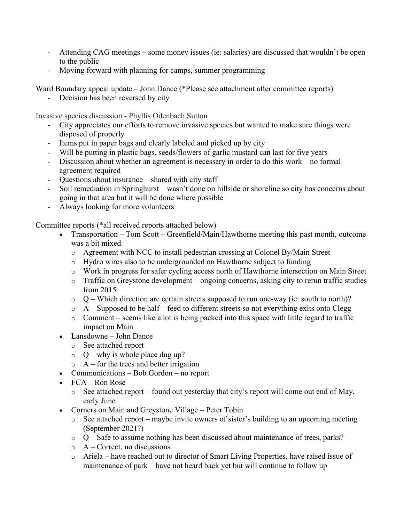- Attending CAG meetings some money issues (ie: salaries) are discussed that wouldn't be open to the public
- Moving forward with planning for camps, summer programming

Ward Boundary appeal update – John Dance (\*Please see attachment after committee reports)

Decision has been reversed by city

Invasive species discussion - Phyllis Odenbach Sutton

- City appreciates our efforts to remove invasive species but wanted to make sure things were disposed of properly
- Items put in paper bags and clearly labeled and picked up by city
- Will be putting in plastic bags, seeds/flowers of garlic mustard can last for five years
- Discussion about whether an agreement is necessary in order to do this work no formal agreement required
- Questions about insurance shared with city staff
- Soil remediation in Springhurst wasn't done on hillside or shoreline so city has concerns about going in that area but it will be done where possible
- Always looking for more volunteers

Committee reports (\*all received reports attached below)

- Transportation Tom Scott Greenfield/Main/Hawthorne meeting this past month, outcome was a bit mixed
	- o Agreement with NCC to install pedestrian crossing at Colonel By/Main Street
	- o Hydro wires also to be undergrounded on Hawthorne subject to funding
	- o Work in progress for safer cycling access north of Hawthorne intersection on Main Street
	- $\circ$  Traffic on Greystone development ongoing concerns, asking city to rerun traffic studies from 2015
	- $\circ$  Q Which direction are certain streets supposed to run one-way (ie: south to north)?
	- $\circ$  A Supposed to be half feed to different streets so not everything exits onto Clegg
	- $\circ$  Comment seems like a lot is being packed into this space with little regard to traffic impact on Main
- Lansdowne John Dance
	- o See attached report
	- $Q -$  why is whole place dug up?
	- $\circ$  A for the trees and better irrigation
- Communications Bob Gordon no report
- FCA Ron Rose
	- o See attached report found out yesterday that city's report will come out end of May, early June
- Corners on Main and Greystone Village Peter Tobin
	- $\circ$  See attached report maybe invite owners of sister's building to an upcoming meeting (September 2021?)
	- $\circ$  Q Safe to assume nothing has been discussed about maintenance of trees, parks?
	- $\circ$  A Correct, no discussions
	- o Ariela have reached out to director of Smart Living Properties, have raised issue of maintenance of park – have not heard back yet but will continue to follow up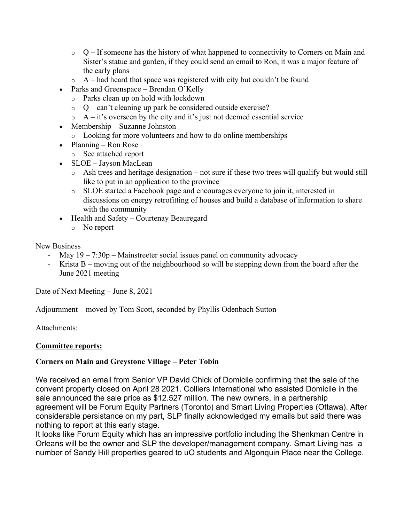- $\circ$  Q If someone has the history of what happened to connectivity to Corners on Main and Sister's statue and garden, if they could send an email to Ron, it was a major feature of the early plans
- $\circ$  A had heard that space was registered with city but couldn't be found
- Parks and Greenspace Brendan O'Kelly
	- o Parks clean up on hold with lockdown
	- $Q can't cleaning up park be considered outside exercise?$
	- $\circ$  A it's overseen by the city and it's just not deemed essential service
- Membership Suzanne Johnston
	- o Looking for more volunteers and how to do online memberships
- Planning Ron Rose
	- o See attached report
- SLOE Jayson MacLean
	- o Ash trees and heritage designation not sure if these two trees will qualify but would still like to put in an application to the province
	- o SLOE started a Facebook page and encourages everyone to join it, interested in discussions on energy retrofitting of houses and build a database of information to share with the community
- Health and Safety Courtenay Beauregard
	- o No report

New Business

- May  $19 7:30p$  Mainstreeter social issues panel on community advocacy
- Krista  $B$  moving out of the neighbourhood so will be stepping down from the board after the June 2021 meeting

Date of Next Meeting – June 8, 2021

Adjournment – moved by Tom Scott, seconded by Phyllis Odenbach Sutton

Attachments:

## **Committee reports:**

# **Corners on Main and Greystone Village – Peter Tobin**

We received an email from Senior VP David Chick of Domicile confirming that the sale of the convent property closed on April 28 2021. Colliers International who assisted Domicile in the sale announced the sale price as \$12.527 million. The new owners, in a partnership agreement will be Forum Equity Partners (Toronto) and Smart Living Properties (Ottawa). After considerable persistance on my part, SLP finally acknowledged my emails but said there was nothing to report at this early stage.

It looks like Forum Equity which has an impressive portfolio including the Shenkman Centre in Orleans will be the owner and SLP the developer/management company. Smart Living has a number of Sandy Hill properties geared to uO students and Algonquin Place near the College.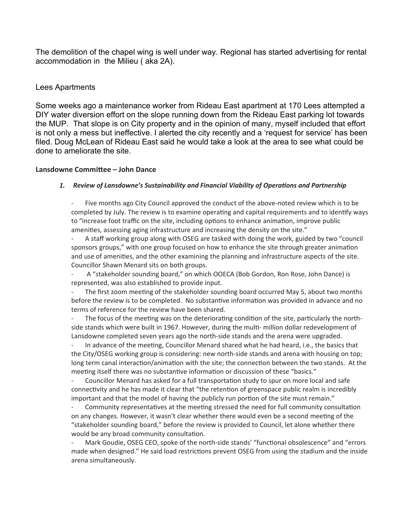The demolition of the chapel wing is well under way. Regional has started advertising for rental accommodation in the Milieu ( aka 2A).

## Lees Apartments

Some weeks ago a maintenance worker from Rideau East apartment at 170 Lees attempted a DIY water diversion effort on the slope running down from the Rideau East parking lot towards the MUP. That slope is on City property and in the opinion of many, myself included that effort is not only a mess but ineffective. I alerted the city recently and a 'request for service' has been filed. Doug McLean of Rideau East said he would take a look at the area to see what could be done to ameliorate the site.

## **Lansdowne Committee – John Dance**

## *1. Review of Lansdowne's Sustainability and Financial Viability of Operations and Partnership*

Five months ago City Council approved the conduct of the above-noted review which is to be completed by July. The review is to examine operating and capital requirements and to identify ways to "increase foot traffic on the site, including options to enhance animation, improve public amenities, assessing aging infrastructure and increasing the density on the site."

A staff working group along with OSEG are tasked with doing the work, guided by two "council sponsors groups," with one group focused on how to enhance the site through greater animation and use of amenities, and the other examining the planning and infrastructure aspects of the site. Councillor Shawn Menard sits on both groups.

A "stakeholder sounding board," on which OOECA (Bob Gordon, Ron Rose, John Dance) is represented, was also established to provide input.

The first zoom meeting of the stakeholder sounding board occurred May 5, about two months before the review is to be completed. No substantive information was provided in advance and no terms of reference for the review have been shared.

- The focus of the meeting was on the deteriorating condition of the site, particularly the northside stands which were built in 1967. However, during the multi- million dollar redevelopment of Lansdowne completed seven years ago the north-side stands and the arena were upgraded.

- In advance of the meeting, Councillor Menard shared what he had heard, i.e., the basics that the City/OSEG working group is considering: new north-side stands and arena with housing on top; long term canal interaction/animation with the site; the connection between the two stands. At the meeting itself there was no substantive information or discussion of these "basics."

- Councillor Menard has asked for a full transportation study to spur on more local and safe connectivity and he has made it clear that "the retention of greenspace public realm is incredibly important and that the model of having the publicly run portion of the site must remain."

Community representatives at the meeting stressed the need for full community consultation on any changes. However, it wasn't clear whether there would even be a second meeting of the "stakeholder sounding board," before the review is provided to Council, let alone whether there would be any broad community consultation.

Mark Goudie, OSEG CEO, spoke of the north-side stands' "functional obsolescence" and "errors made when designed." He said load restrictions prevent OSEG from using the stadium and the inside arena simultaneously.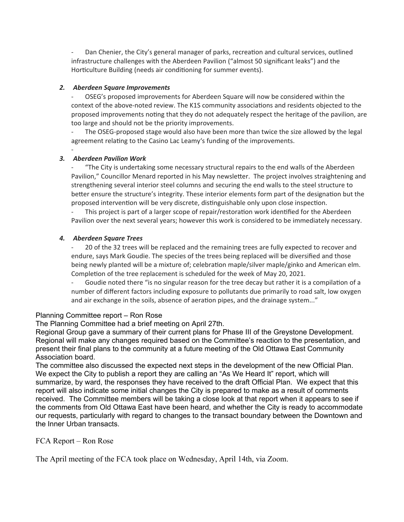Dan Chenier, the City's general manager of parks, recreation and cultural services, outlined infrastructure challenges with the Aberdeen Pavilion ("almost 50 significant leaks") and the Horticulture Building (needs air conditioning for summer events).

## *2. Aberdeen Square Improvements*

- OSEG's proposed improvements for Aberdeen Square will now be considered within the context of the above-noted review. The K1S community associations and residents objected to the proposed improvements noting that they do not adequately respect the heritage of the pavilion, are too large and should not be the priority improvements.

The OSEG-proposed stage would also have been more than twice the size allowed by the legal agreement relating to the Casino Lac Leamy's funding of the improvements.

#### - *3. Aberdeen Pavilion Work*

"The City is undertaking some necessary structural repairs to the end walls of the Aberdeen Pavilion," Councillor Menard reported in his May newsletter. The project involves straightening and strengthening several interior steel columns and securing the end walls to the steel structure to better ensure the structure's integrity. These interior elements form part of the designation but the proposed intervention will be very discrete, distinguishable only upon close inspection.

This project is part of a larger scope of repair/restoration work identified for the Aberdeen Pavilion over the next several years; however this work is considered to be immediately necessary.

## *4. Aberdeen Square Trees*

- 20 of the 32 trees will be replaced and the remaining trees are fully expected to recover and endure, says Mark Goudie. The species of the trees being replaced will be diversified and those being newly planted will be a mixture of; celebration maple/silver maple/ginko and American elm. Completion of the tree replacement is scheduled for the week of May 20, 2021.

- Goudie noted there "is no singular reason for the tree decay but rather it is a compilation of a number of different factors including exposure to pollutants due primarily to road salt, low oxygen and air exchange in the soils, absence of aeration pipes, and the drainage system..."

## Planning Committee report – Ron Rose

The Planning Committee had a brief meeting on April 27th.

Regional Group gave a summary of their current plans for Phase III of the Greystone Development. Regional will make any changes required based on the Committee's reaction to the presentation, and present their final plans to the community at a future meeting of the Old Ottawa East Community Association board.

The committee also discussed the expected next steps in the development of the new Official Plan. We expect the City to publish a report they are calling an "As We Heard It" report, which will summarize, by ward, the responses they have received to the draft Official Plan. We expect that this report will also indicate some initial changes the City is prepared to make as a result of comments received. The Committee members will be taking a close look at that report when it appears to see if the comments from Old Ottawa East have been heard, and whether the City is ready to accommodate our requests, particularly with regard to changes to the transact boundary between the Downtown and the Inner Urban transacts.

## FCA Report – Ron Rose

The April meeting of the FCA took place on Wednesday, April 14th, via Zoom.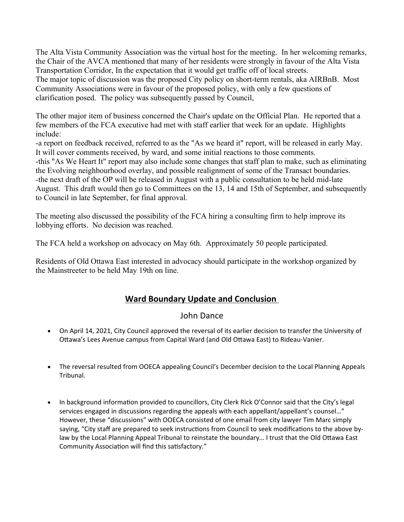The Alta Vista Community Association was the virtual host for the meeting. In her welcoming remarks, the Chair of the AVCA mentioned that many of her residents were strongly in favour of the Alta Vista Transportation Corridor, In the expectation that it would get traffic off of local streets. The major topic of discussion was the proposed City policy on short-term rentals, aka AIRBnB. Most Community Associations were in favour of the proposed policy, with only a few questions of clarification posed. The policy was subsequently passed by Council,

The other major item of business concerned the Chair's update on the Official Plan. He reported that a few members of the FCA executive had met with staff earlier that week for an update. Highlights include:

-a report on feedback received, referred to as the "As we heard it" report, will be released in early May. It will cover comments received, by ward, and some initial reactions to those comments. -this "As We Heart It" report may also include some changes that staff plan to make, such as eliminating the Evolving neighbourhood overlay, and possible realignment of some of the Transact boundaries. -the next draft of the OP will be released in August with a public consultation to be held mid-late August. This draft would then go to Committees on the 13, 14 and 15th of September, and subsequently to Council in late September, for final approval.

The meeting also discussed the possibility of the FCA hiring a consulting firm to help improve its lobbying efforts. No decision was reached.

The FCA held a workshop on advocacy on May 6th. Approximately 50 people participated.

Residents of Old Ottawa East interested in advocacy should participate in the workshop organized by the Mainstreeter to be held May 19th on line.

# **Ward Boundary Update and Conclusion**

# John Dance

- On April 14, 2021, City Council approved the reversal of its earlier decision to transfer the University of Ottawa's Lees Avenue campus from Capital Ward (and Old Ottawa East) to Rideau-Vanier.
- The reversal resulted from OOECA appealing Council's December decision to the Local Planning Appeals Tribunal.
- In background information provided to councillors, City Clerk Rick O'Connor said that the City's legal services engaged in discussions regarding the appeals with each appellant/appellant's counsel..." However, these "discussions" with OOECA consisted of one email from city lawyer Tim Marc simply saying, "City staff are prepared to seek instructions from Council to seek modifications to the above bylaw by the Local Planning Appeal Tribunal to reinstate the boundary… I trust that the Old Ottawa East Community Association will find this satisfactory."